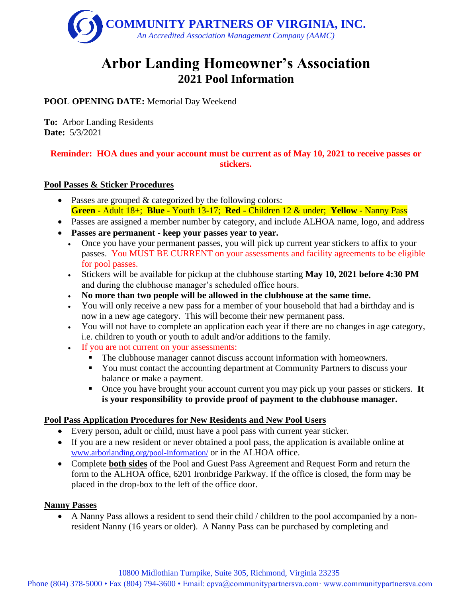

# **Arbor Landing Homeowner's Association 2021 Pool Information**

## **POOL OPENING DATE:** Memorial Day Weekend

**To:** Arbor Landing Residents **Date:** 5/3/2021

## **Reminder: HOA dues and your account must be current as of May 10, 2021 to receive passes or stickers.**

## **Pool Passes & Sticker Procedures**

- Passes are grouped & categorized by the following colors: **Green** - Adult 18+; **Blue** - Youth 13-17; **Red** - Children 12 & under; **Yellow** - Nanny Pass
- Passes are assigned a member number by category, and include ALHOA name, logo, and address
- **Passes are permanent - keep your passes year to year.**
	- Once you have your permanent passes, you will pick up current year stickers to affix to your passes. You MUST BE CURRENT on your assessments and facility agreements to be eligible for pool passes.
	- Stickers will be available for pickup at the clubhouse starting **May 10, 2021 before 4:30 PM** and during the clubhouse manager's scheduled office hours.
	- **No more than two people will be allowed in the clubhouse at the same time.**
	- You will only receive a new pass for a member of your household that had a birthday and is now in a new age category. This will become their new permanent pass.
	- You will not have to complete an application each year if there are no changes in age category, i.e. children to youth or youth to adult and/or additions to the family.
	- If you are not current on your assessments:
		- The clubhouse manager cannot discuss account information with homeowners.
		- You must contact the accounting department at Community Partners to discuss your balance or make a payment.
		- Once you have brought your account current you may pick up your passes or stickers. **It is your responsibility to provide proof of payment to the clubhouse manager.**

## **Pool Pass Application Procedures for New Residents and New Pool Users**

- Every person, adult or child, must have a pool pass with current year sticker.
- If you are a new resident or never obtained a pool pass, the application is available online at [www.arborlanding.org/pool-information/](http://www.arborlanding.org/pool-information/) or in the ALHOA office.
- Complete **both sides** of the Pool and Guest Pass Agreement and Request Form and return the form to the ALHOA office, 6201 Ironbridge Parkway. If the office is closed, the form may be placed in the drop-box to the left of the office door.

## **Nanny Passes**

• A Nanny Pass allows a resident to send their child / children to the pool accompanied by a nonresident Nanny (16 years or older). A Nanny Pass can be purchased by completing and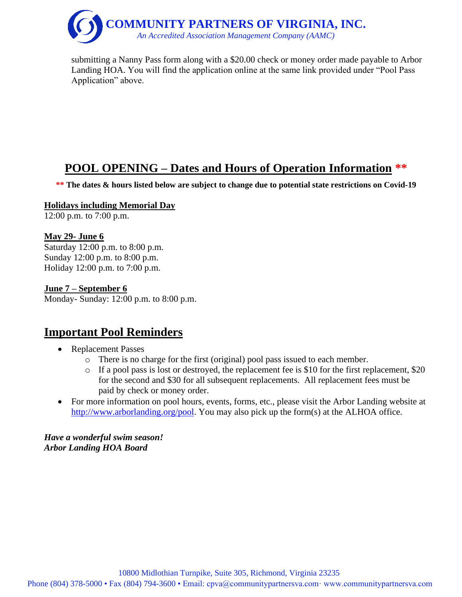

submitting a Nanny Pass form along with a \$20.00 check or money order made payable to Arbor Landing HOA. You will find the application online at the same link provided under "Pool Pass Application" above.

## **POOL OPENING – Dates and Hours of Operation Information \*\***

**\*\* The dates & hours listed below are subject to change due to potential state restrictions on Covid-19**

#### **Holidays including Memorial Day**

12:00 p.m. to 7:00 p.m.

#### **May 29- June 6**

Saturday 12:00 p.m. to 8:00 p.m. Sunday 12:00 p.m. to 8:00 p.m. Holiday 12:00 p.m. to 7:00 p.m.

#### **June 7 – September 6**

Monday- Sunday: 12:00 p.m. to 8:00 p.m.

## **Important Pool Reminders**

- Replacement Passes
	- o There is no charge for the first (original) pool pass issued to each member.
	- o If a pool pass is lost or destroyed, the replacement fee is \$10 for the first replacement, \$20 for the second and \$30 for all subsequent replacements. All replacement fees must be paid by check or money order.
- For more information on pool hours, events, forms, etc., please visit the Arbor Landing website at [http://www.arborlanding.org/pool.](http://www.arborlanding.org/pool/) You may also pick up the form(s) at the ALHOA office.

*Have a wonderful swim season! Arbor Landing HOA Board*